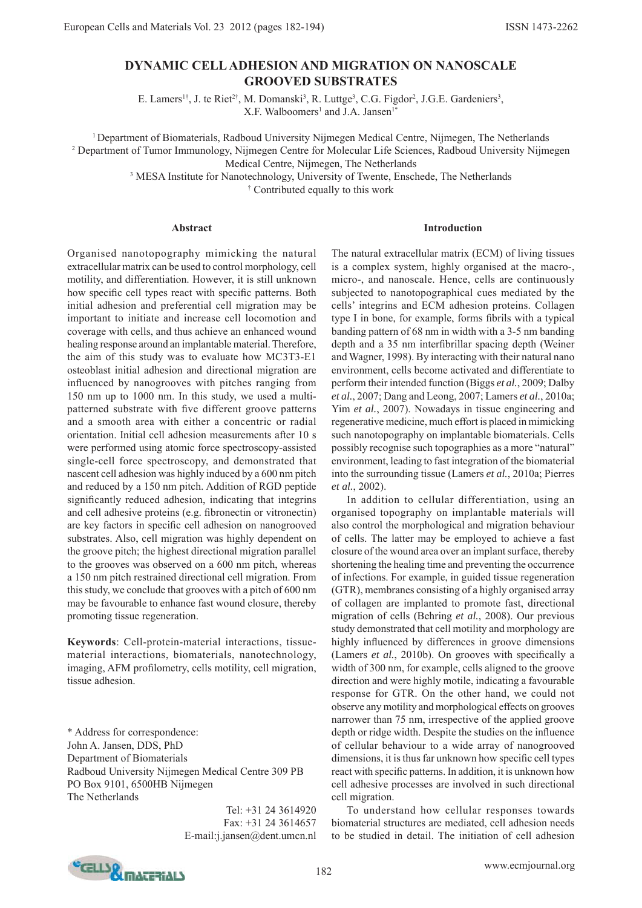# **DYNAMIC CELL ADHESION AND MIGRATION ON NANOSCALE GROOVED SUBSTRATES**

E. Lamers<sup>1†</sup>, J. te Riet<sup>2†</sup>, M. Domanski<sup>3</sup>, R. Luttge<sup>3</sup>, C.G. Figdor<sup>2</sup>, J.G.E. Gardeniers<sup>3</sup>, X.F. Walboomers<sup>1</sup> and J.A. Jansen<sup>1\*</sup>

1 Department of Biomaterials, Radboud University Nijmegen Medical Centre, Nijmegen, The Netherlands 2 Department of Tumor Immunology, Nijmegen Centre for Molecular Life Sciences, Radboud University Nijmegen

Medical Centre, Nijmegen, The Netherlands

<sup>3</sup> MESA Institute for Nanotechnology, University of Twente, Enschede, The Netherlands

† Contributed equally to this work

#### **Abstract**

Organised nanotopography mimicking the natural extracellular matrix can be used to control morphology, cell motility, and differentiation. However, it is still unknown how specific cell types react with specific patterns. Both initial adhesion and preferential cell migration may be important to initiate and increase cell locomotion and coverage with cells, and thus achieve an enhanced wound healing response around an implantable material. Therefore, the aim of this study was to evaluate how MC3T3-E1 osteoblast initial adhesion and directional migration are influenced by nanogrooves with pitches ranging from 150 nm up to 1000 nm. In this study, we used a multipatterned substrate with five different groove patterns and a smooth area with either a concentric or radial orientation. Initial cell adhesion measurements after 10 s were performed using atomic force spectroscopy-assisted single-cell force spectroscopy, and demonstrated that nascent cell adhesion was highly induced by a 600 nm pitch and reduced by a 150 nm pitch. Addition of RGD peptide significantly reduced adhesion, indicating that integrins and cell adhesive proteins (e.g. fibronectin or vitronectin) are key factors in specific cell adhesion on nanogrooved substrates. Also, cell migration was highly dependent on the groove pitch; the highest directional migration parallel to the grooves was observed on a 600 nm pitch, whereas a 150 nm pitch restrained directional cell migration. From this study, we conclude that grooves with a pitch of 600 nm may be favourable to enhance fast wound closure, thereby promoting tissue regeneration.

**Keywords**: Cell-protein-material interactions, tissuematerial interactions, biomaterials, nanotechnology, imaging, AFM profilometry, cells motility, cell migration, tissue adhesion.

\* Address for correspondence: John A. Jansen, DDS, PhD Department of Biomaterials Radboud University Nijmegen Medical Centre 309 PB PO Box 9101, 6500HB Nijmegen The Netherlands

Tel: +31 24 3614920 Fax: +31 24 3614657 E-mail:j.jansen@dent.umcn.nl

# **Introduction**

The natural extracellular matrix (ECM) of living tissues is a complex system, highly organised at the macro-, micro-, and nanoscale. Hence, cells are continuously subjected to nanotopographical cues mediated by the cells' integrins and ECM adhesion proteins. Collagen type I in bone, for example, forms fibrils with a typical banding pattern of 68 nm in width with a 3-5 nm banding depth and a 35 nm interfibrillar spacing depth (Weiner and Wagner, 1998). By interacting with their natural nano environment, cells become activated and differentiate to perform their intended function (Biggs *et al.*, 2009; Dalby *et al.*, 2007; Dang and Leong, 2007; Lamers *et al.*, 2010a; Yim *et al.*, 2007). Nowadays in tissue engineering and regenerative medicine, much effort is placed in mimicking such nanotopography on implantable biomaterials. Cells possibly recognise such topographies as a more "natural" environment, leading to fast integration of the biomaterial into the surrounding tissue (Lamers *et al.*, 2010a; Pierres *et al.*, 2002).

 In addition to cellular differentiation, using an organised topography on implantable materials will also control the morphological and migration behaviour of cells. The latter may be employed to achieve a fast closure of the wound area over an implant surface, thereby shortening the healing time and preventing the occurrence of infections. For example, in guided tissue regeneration (GTR), membranes consisting of a highly organised array of collagen are implanted to promote fast, directional migration of cells (Behring *et al.*, 2008). Our previous study demonstrated that cell motility and morphology are highly influenced by differences in groove dimensions (Lamers *et al.*, 2010b). On grooves with specifically a width of 300 nm, for example, cells aligned to the groove direction and were highly motile, indicating a favourable response for GTR. On the other hand, we could not observe any motility and morphological effects on grooves narrower than 75 nm, irrespective of the applied groove depth or ridge width. Despite the studies on the influence of cellular behaviour to a wide array of nanogrooved dimensions, it is thus far unknown how specific cell types react with specific patterns. In addition, it is unknown how cell adhesive processes are involved in such directional cell migration.

 To understand how cellular responses towards biomaterial structures are mediated, cell adhesion needs to be studied in detail. The initiation of cell adhesion

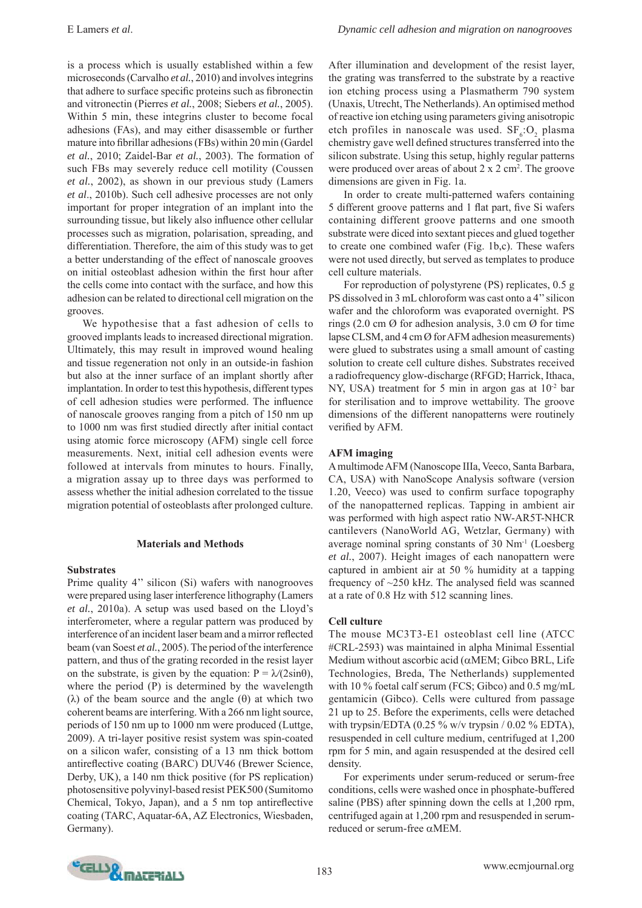is a process which is usually established within a few microseconds (Carvalho *et al.*, 2010) and involves integrins that adhere to surface specific proteins such as fibronectin and vitronectin (Pierres *et al.*, 2008; Siebers *et al.*, 2005). Within 5 min, these integrins cluster to become focal adhesions (FAs), and may either disassemble or further mature into fibrillar adhesions (FBs) within 20 min (Gardel *et al.*, 2010; Zaidel-Bar *et al.*, 2003). The formation of such FBs may severely reduce cell motility (Coussen *et al.*, 2002), as shown in our previous study (Lamers *et al*., 2010b). Such cell adhesive processes are not only important for proper integration of an implant into the surrounding tissue, but likely also influence other cellular processes such as migration, polarisation, spreading, and differentiation. Therefore, the aim of this study was to get a better understanding of the effect of nanoscale grooves on initial osteoblast adhesion within the first hour after the cells come into contact with the surface, and how this adhesion can be related to directional cell migration on the grooves.

 We hypothesise that a fast adhesion of cells to grooved implants leads to increased directional migration. Ultimately, this may result in improved wound healing and tissue regeneration not only in an outside-in fashion but also at the inner surface of an implant shortly after implantation. In order to test this hypothesis, different types of cell adhesion studies were performed. The influence of nanoscale grooves ranging from a pitch of 150 nm up to 1000 nm was first studied directly after initial contact using atomic force microscopy (AFM) single cell force measurements. Next, initial cell adhesion events were followed at intervals from minutes to hours. Finally, a migration assay up to three days was performed to assess whether the initial adhesion correlated to the tissue migration potential of osteoblasts after prolonged culture.

#### **Materials and Methods**

### **Substrates**

Prime quality 4'' silicon (Si) wafers with nanogrooves were prepared using laser interference lithography (Lamers *et al.*, 2010a). A setup was used based on the Lloyd's interferometer, where a regular pattern was produced by interference of an incident laser beam and a mirror reflected beam (van Soest *et al.*, 2005). The period of the interference pattern, and thus of the grating recorded in the resist layer on the substrate, is given by the equation:  $P = \lambda/(2\sin\theta)$ , where the period (P) is determined by the wavelength (λ) of the beam source and the angle (θ) at which two coherent beams are interfering. With a 266 nm light source, periods of 150 nm up to 1000 nm were produced (Luttge, 2009). A tri-layer positive resist system was spin-coated on a silicon wafer, consisting of a 13 nm thick bottom antireflective coating (BARC) DUV46 (Brewer Science, Derby, UK), a 140 nm thick positive (for PS replication) photosensitive polyvinyl-based resist PEK500 (Sumitomo Chemical, Tokyo, Japan), and a 5 nm top antireflective coating (TARC, Aquatar-6A, AZ Electronics, Wiesbaden, Germany).

After illumination and development of the resist layer, the grating was transferred to the substrate by a reactive ion etching process using a Plasmatherm 790 system (Unaxis, Utrecht, The Netherlands). An optimised method of reactive ion etching using parameters giving anisotropic etch profiles in nanoscale was used.  $SF<sub>6</sub>:O<sub>2</sub>$  plasma chemistry gave well defined structures transferred into the silicon substrate. Using this setup, highly regular patterns were produced over areas of about 2 x 2 cm<sup>2</sup>. The groove dimensions are given in Fig. 1a.

 In order to create multi-patterned wafers containing 5 different groove patterns and 1 flat part, five Si wafers containing different groove patterns and one smooth substrate were diced into sextant pieces and glued together to create one combined wafer (Fig. 1b,c). These wafers were not used directly, but served as templates to produce cell culture materials.

 For reproduction of polystyrene (PS) replicates, 0.5 g PS dissolved in 3 mL chloroform was cast onto a 4'' silicon wafer and the chloroform was evaporated overnight. PS rings (2.0 cm  $\varnothing$  for adhesion analysis, 3.0 cm  $\varnothing$  for time lapse CLSM, and 4 cm Ø for AFM adhesion measurements) were glued to substrates using a small amount of casting solution to create cell culture dishes. Substrates received a radiofrequency glow-discharge (RFGD; Harrick, Ithaca, NY, USA) treatment for 5 min in argon gas at 10-2 bar for sterilisation and to improve wettability. The groove dimensions of the different nanopatterns were routinely verified by AFM.

#### **AFM imaging**

A multimode AFM (Nanoscope IIIa, Veeco, Santa Barbara, CA, USA) with NanoScope Analysis software (version 1.20, Veeco) was used to confirm surface topography of the nanopatterned replicas. Tapping in ambient air was performed with high aspect ratio NW-AR5T-NHCR cantilevers (NanoWorld AG, Wetzlar, Germany) with average nominal spring constants of 30 Nm-1 (Loesberg *et al.*, 2007). Height images of each nanopattern were captured in ambient air at 50 % humidity at a tapping frequency of  $\sim$ 250 kHz. The analysed field was scanned at a rate of 0.8 Hz with 512 scanning lines.

### **Cell culture**

The mouse MC3T3-E1 osteoblast cell line (ATCC #CRL-2593) was maintained in alpha Minimal Essential Medium without ascorbic acid ( $\alpha$ MEM; Gibco BRL, Life Technologies, Breda, The Netherlands) supplemented with 10 % foetal calf serum (FCS; Gibco) and 0.5 mg/mL gentamicin (Gibco). Cells were cultured from passage 21 up to 25. Before the experiments, cells were detached with trypsin/EDTA (0.25 % w/v trypsin / 0.02 % EDTA), resuspended in cell culture medium, centrifuged at 1,200 rpm for 5 min, and again resuspended at the desired cell density.

 For experiments under serum-reduced or serum-free conditions, cells were washed once in phosphate-buffered saline (PBS) after spinning down the cells at 1,200 rpm, centrifuged again at 1,200 rpm and resuspended in serumreduced or serum-free  $\alpha$ MEM.

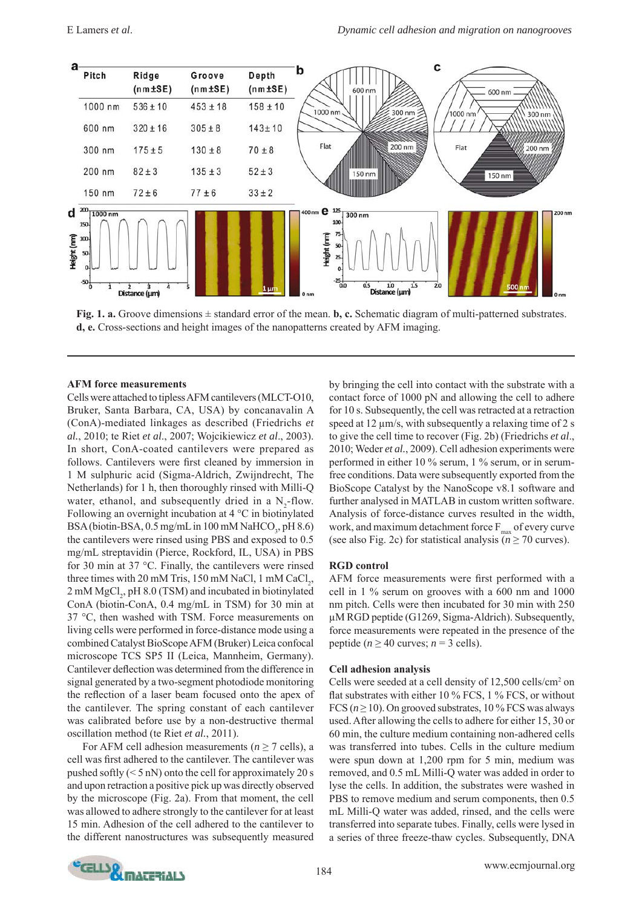

**Fig. 1. a.** Groove dimensions  $\pm$  standard error of the mean. **b, c.** Schematic diagram of multi-patterned substrates. **d, e.** Cross-sections and height images of the nanopatterns created by AFM imaging.

### **AFM force measurements**

Cells were attached to tipless AFM cantilevers (MLCT-O10, Bruker, Santa Barbara, CA, USA) by concanavalin A (ConA)-mediated linkages as described (Friedrichs *et al.*, 2010; te Riet *et al*., 2007; Wojcikiewicz *et al*., 2003). In short, ConA-coated cantilevers were prepared as follows. Cantilevers were first cleaned by immersion in 1 M sulphuric acid (Sigma-Aldrich, Zwijndrecht, The Netherlands) for 1 h, then thoroughly rinsed with Milli-Q water, ethanol, and subsequently dried in a  $N_2$ -flow. Following an overnight incubation at 4 °C in biotinylated  $BSA$  (biotin-BSA, 0.5 mg/mL in 100 mM NaHCO<sub>3</sub>, pH 8.6) the cantilevers were rinsed using PBS and exposed to 0.5 mg/mL streptavidin (Pierce, Rockford, IL, USA) in PBS for 30 min at 37 °C. Finally, the cantilevers were rinsed three times with 20 mM Tris, 150 mM NaCl, 1 mM CaCl<sub>2</sub>, 2 mM MgCl<sub>2</sub>, pH 8.0 (TSM) and incubated in biotinylated ConA (biotin-ConA, 0.4 mg/mL in TSM) for 30 min at 37 °C, then washed with TSM. Force measurements on living cells were performed in force-distance mode using a combined Catalyst BioScope AFM (Bruker) Leica confocal microscope TCS SP5 II (Leica, Mannheim, Germany). Cantilever deflection was determined from the difference in signal generated by a two-segment photodiode monitoring the reflection of a laser beam focused onto the apex of the cantilever. The spring constant of each cantilever was calibrated before use by a non-destructive thermal oscillation method (te Riet *et al.*, 2011).

For AFM cell adhesion measurements ( $n \ge 7$  cells), a cell was first adhered to the cantilever. The cantilever was pushed softly  $(< 5 \text{ nN})$  onto the cell for approximately 20 s and upon retraction a positive pick up was directly observed by the microscope (Fig. 2a). From that moment, the cell was allowed to adhere strongly to the cantilever for at least 15 min. Adhesion of the cell adhered to the cantilever to the different nanostructures was subsequently measured by bringing the cell into contact with the substrate with a contact force of 1000 pN and allowing the cell to adhere for 10 s. Subsequently, the cell was retracted at a retraction speed at 12 μm/s, with subsequently a relaxing time of 2 s to give the cell time to recover (Fig. 2b) (Friedrichs *et al*., 2010; Weder *et al.*, 2009). Cell adhesion experiments were performed in either 10 % serum, 1 % serum, or in serumfree conditions. Data were subsequently exported from the BioScope Catalyst by the NanoScope v8.1 software and further analysed in MATLAB in custom written software. Analysis of force-distance curves resulted in the width, work, and maximum detachment force  $F_{\text{max}}$  of every curve (see also Fig. 2c) for statistical analysis ( $n \ge 70$  curves).

### **RGD control**

AFM force measurements were first performed with a cell in 1 % serum on grooves with a 600 nm and 1000 nm pitch. Cells were then incubated for 30 min with 250 μM RGD peptide (G1269, Sigma-Aldrich). Subsequently, force measurements were repeated in the presence of the peptide ( $n \ge 40$  curves;  $n = 3$  cells).

### **Cell adhesion analysis**

Cells were seeded at a cell density of 12,500 cells/cm<sup>2</sup> on flat substrates with either  $10\%$  FCS,  $1\%$  FCS, or without FCS ( $n \ge 10$ ). On grooved substrates,  $10\%$  FCS was always used. After allowing the cells to adhere for either 15, 30 or 60 min, the culture medium containing non-adhered cells was transferred into tubes. Cells in the culture medium were spun down at 1,200 rpm for 5 min, medium was removed, and 0.5 mL Milli-Q water was added in order to lyse the cells. In addition, the substrates were washed in PBS to remove medium and serum components, then 0.5 mL Milli-Q water was added, rinsed, and the cells were transferred into separate tubes. Finally, cells were lysed in a series of three freeze-thaw cycles. Subsequently, DNA

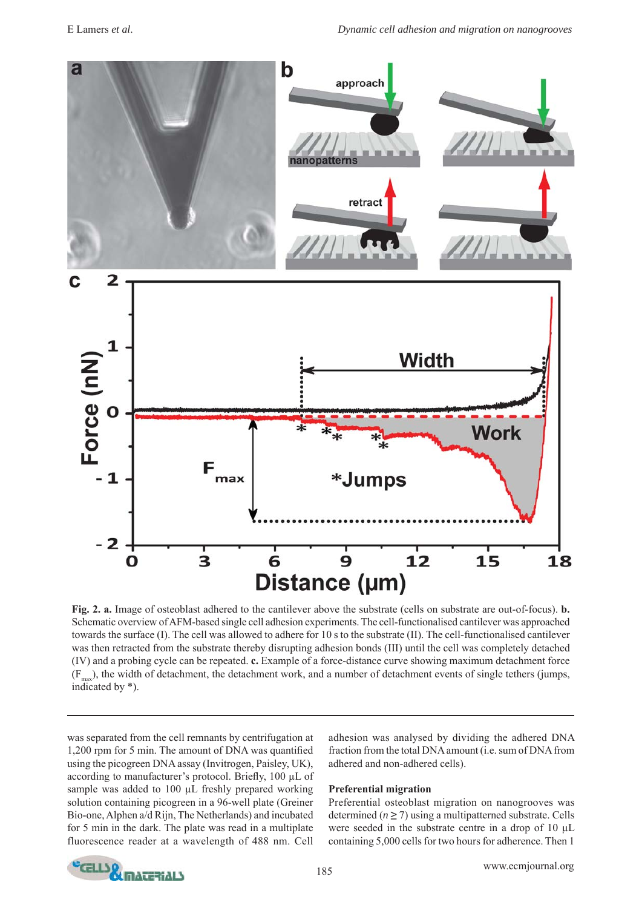

**Fig. 2. a.** Image of osteoblast adhered to the cantilever above the substrate (cells on substrate are out-of-focus). **b.** Schematic overview of AFM-based single cell adhesion experiments. The cell-functionalised cantilever was approached towards the surface (I). The cell was allowed to adhere for 10 s to the substrate (II). The cell-functionalised cantilever was then retracted from the substrate thereby disrupting adhesion bonds (III) until the cell was completely detached (IV) and a probing cycle can be repeated. **c.** Example of a force-distance curve showing maximum detachment force  $(F<sub>max</sub>)$ , the width of detachment, the detachment work, and a number of detachment events of single tethers (jumps, indicated by \*).

was separated from the cell remnants by centrifugation at 1,200 rpm for 5 min. The amount of DNA was quantified using the picogreen DNA assay (Invitrogen, Paisley, UK), according to manufacturer's protocol. Briefly, 100 μL of sample was added to 100 μL freshly prepared working solution containing picogreen in a 96-well plate (Greiner Bio-one, Alphen a/d Rijn, The Netherlands) and incubated for 5 min in the dark. The plate was read in a multiplate fluorescence reader at a wavelength of 488 nm. Cell

adhesion was analysed by dividing the adhered DNA fraction from the total DNA amount (i.e. sum of DNA from adhered and non-adhered cells).

# **Preferential migration**

Preferential osteoblast migration on nanogrooves was determined  $(n \ge 7)$  using a multipatterned substrate. Cells were seeded in the substrate centre in a drop of 10 μL containing 5,000 cells for two hours for adherence. Then 1

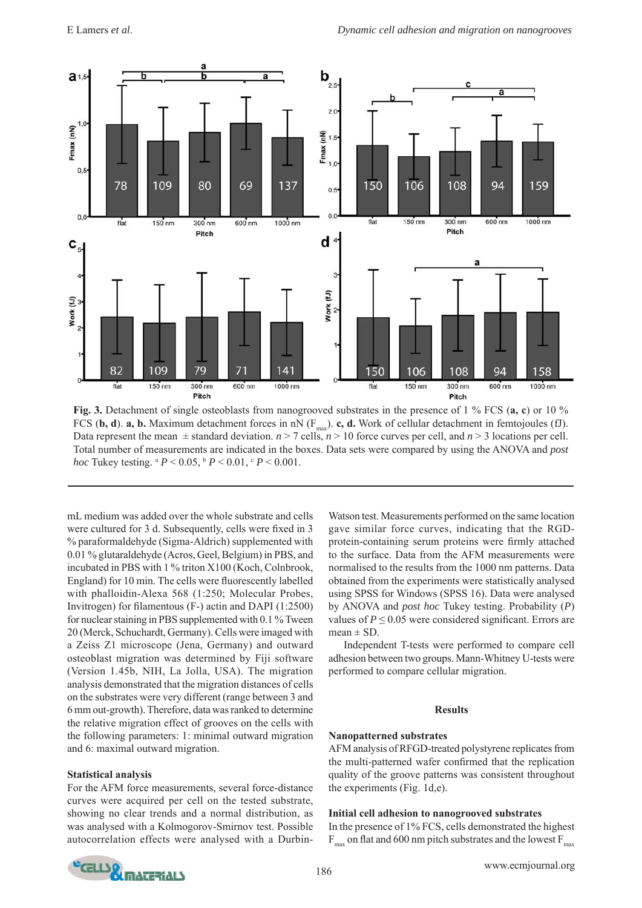

**Fig. 3.** Detachment of single osteoblasts from nanogrooved substrates in the presence of 1 % FCS (a, c) or 10 % FCS (**b, d**). **a, b.** Maximum detachment forces in nN  $(F_{max})$ . **c, d.** Work of cellular detachment in femtojoules (fJ). Data represent the mean  $\pm$  standard deviation.  $n > 7$  cells,  $n > 10$  force curves per cell, and  $n > 3$  locations per cell. Total number of measurements are indicated in the boxes. Data sets were compared by using the ANOVA and *post hoc* Tukey testing.  $^{a}P < 0.05$ ,  $^{b}P < 0.01$ ,  $^{c}P < 0.001$ .

mL medium was added over the whole substrate and cells were cultured for 3 d. Subsequently, cells were fixed in 3 % paraformaldehyde (Sigma-Aldrich) supplemented with 0.01 % glutaraldehyde (Acros, Geel, Belgium) in PBS, and incubated in PBS with 1 % triton X100 (Koch, Colnbrook, England) for 10 min. The cells were fluorescently labelled with phalloidin-Alexa 568 (1:250; Molecular Probes, Invitrogen) for filamentous  $(F-)$  actin and DAPI  $(1:2500)$ for nuclear staining in PBS supplemented with 0.1 % Tween 20 (Merck, Schuchardt, Germany). Cells were imaged with a Zeiss Z1 microscope (Jena, Germany) and outward osteoblast migration was determined by Fiji software (Version 1.45b, NIH, La Jolla, USA). The migration analysis demonstrated that the migration distances of cells on the substrates were very different (range between 3 and 6 mm out-growth). Therefore, data was ranked to determine the relative migration effect of grooves on the cells with the following parameters: 1: minimal outward migration and 6: maximal outward migration.

### **Statistical analysis**

For the AFM force measurements, several force-distance curves were acquired per cell on the tested substrate, showing no clear trends and a normal distribution, as was analysed with a Kolmogorov-Smirnov test. Possible autocorrelation effects were analysed with a Durbin-

Watson test. Measurements performed on the same location gave similar force curves, indicating that the RGDprotein-containing serum proteins were firmly attached to the surface. Data from the AFM measurements were normalised to the results from the 1000 nm patterns. Data obtained from the experiments were statistically analysed using SPSS for Windows (SPSS 16). Data were analysed by ANOVA and *post hoc* Tukey testing. Probability (*P*) values of  $P \le 0.05$  were considered significant. Errors are mean  $\pm$  SD.

 Independent T-tests were performed to compare cell adhesion between two groups. Mann-Whitney U-tests were performed to compare cellular migration.

### **Results**

# **Nanopatterned substrates**

AFM analysis of RFGD-treated polystyrene replicates from the multi-patterned wafer confirmed that the replication quality of the groove patterns was consistent throughout the experiments (Fig. 1d,e).

# **Initial cell adhesion to nanogrooved substrates**

In the presence of 1% FCS, cells demonstrated the highest  $F_{\text{max}}$  on flat and 600 nm pitch substrates and the lowest  $F_{\text{max}}$ 

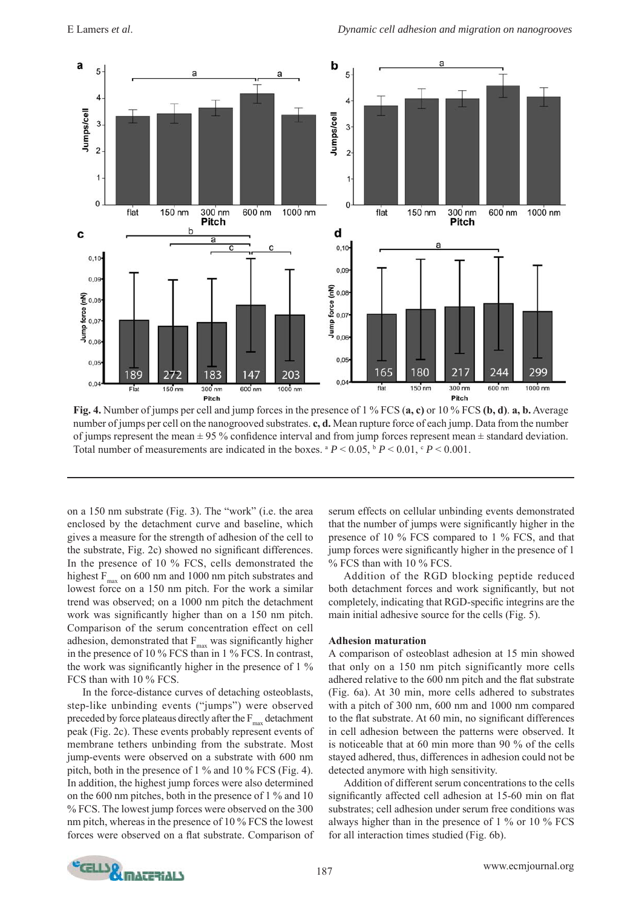

**Fig. 4.** Number of jumps per cell and jump forces in the presence of 1 % FCS (**a, c)** or 10 % FCS **(b, d)**. **a, b.** Average number of jumps per cell on the nanogrooved substrates. **c, d.** Mean rupture force of each jump. Data from the number of jumps represent the mean  $\pm$  95 % confidence interval and from jump forces represent mean  $\pm$  standard deviation. Total number of measurements are indicated in the boxes.  $^{a}P < 0.05$ ,  $^{b}P < 0.01$ ,  $^{c}P < 0.001$ .

on a 150 nm substrate (Fig. 3). The "work" (i.e. the area enclosed by the detachment curve and baseline, which gives a measure for the strength of adhesion of the cell to the substrate, Fig. 2c) showed no significant differences. In the presence of 10 % FCS, cells demonstrated the highest  $F_{\text{max}}$  on 600 nm and 1000 nm pitch substrates and lowest force on a 150 nm pitch. For the work a similar trend was observed; on a 1000 nm pitch the detachment work was significantly higher than on a 150 nm pitch. Comparison of the serum concentration effect on cell adhesion, demonstrated that  $F_{\text{max}}$  was significantly higher in the presence of 10 % FCS than in 1 % FCS. In contrast, the work was significantly higher in the presence of 1 % FCS than with 10 % FCS.

 In the force-distance curves of detaching osteoblasts, step-like unbinding events ("jumps") were observed preceded by force plateaus directly after the  $F_{\text{max}}$  detachment peak (Fig. 2c). These events probably represent events of membrane tethers unbinding from the substrate. Most jump-events were observed on a substrate with 600 nm pitch, both in the presence of 1 % and 10 % FCS (Fig. 4). In addition, the highest jump forces were also determined on the 600 nm pitches, both in the presence of 1 % and 10 % FCS. The lowest jump forces were observed on the 300 nm pitch, whereas in the presence of 10 % FCS the lowest forces were observed on a flat substrate. Comparison of serum effects on cellular unbinding events demonstrated that the number of jumps were significantly higher in the presence of 10 % FCS compared to 1 % FCS, and that jump forces were significantly higher in the presence of 1 % FCS than with 10 % FCS.

 Addition of the RGD blocking peptide reduced both detachment forces and work significantly, but not completely, indicating that RGD-specific integrins are the main initial adhesive source for the cells (Fig. 5).

### **Adhesion maturation**

A comparison of osteoblast adhesion at 15 min showed that only on a 150 nm pitch significantly more cells adhered relative to the 600 nm pitch and the flat substrate (Fig. 6a). At 30 min, more cells adhered to substrates with a pitch of 300 nm, 600 nm and 1000 nm compared to the flat substrate. At 60 min, no significant differences in cell adhesion between the patterns were observed. It is noticeable that at 60 min more than 90 % of the cells stayed adhered, thus, differences in adhesion could not be detected anymore with high sensitivity.

 Addition of different serum concentrations to the cells significantly affected cell adhesion at 15-60 min on flat substrates; cell adhesion under serum free conditions was always higher than in the presence of 1 % or 10 % FCS for all interaction times studied (Fig. 6b).

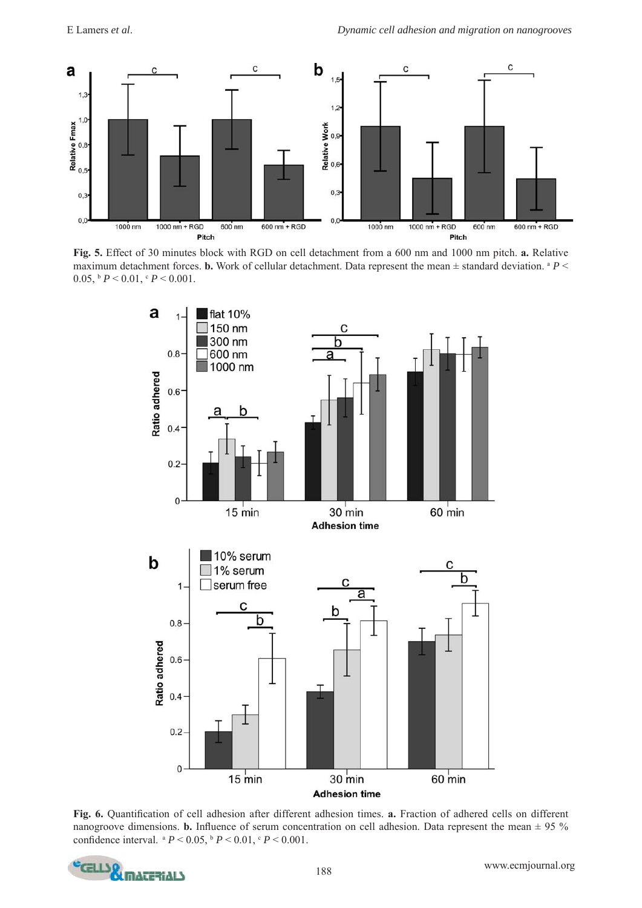

**Fig. 5.** Effect of 30 minutes block with RGD on cell detachment from a 600 nm and 1000 nm pitch. **a.** Relative maximum detachment forces. **b.** Work of cellular detachment. Data represent the mean  $\pm$  standard deviation.  ${}^{a}P$  <  $0.05$ ,  $\frac{b}{p}$   $P < 0.01$ ,  $\frac{c}{p}$   $P < 0.001$ .



Fig. 6. Quantification of cell adhesion after different adhesion times. **a.** Fraction of adhered cells on different nanogroove dimensions. **b.** Influence of serum concentration on cell adhesion. Data represent the mean  $\pm$  95 % confidence interval.  ${}^{a}P$  < 0.05,  ${}^{b}P$  < 0.01,  ${}^{c}P$  < 0.001.

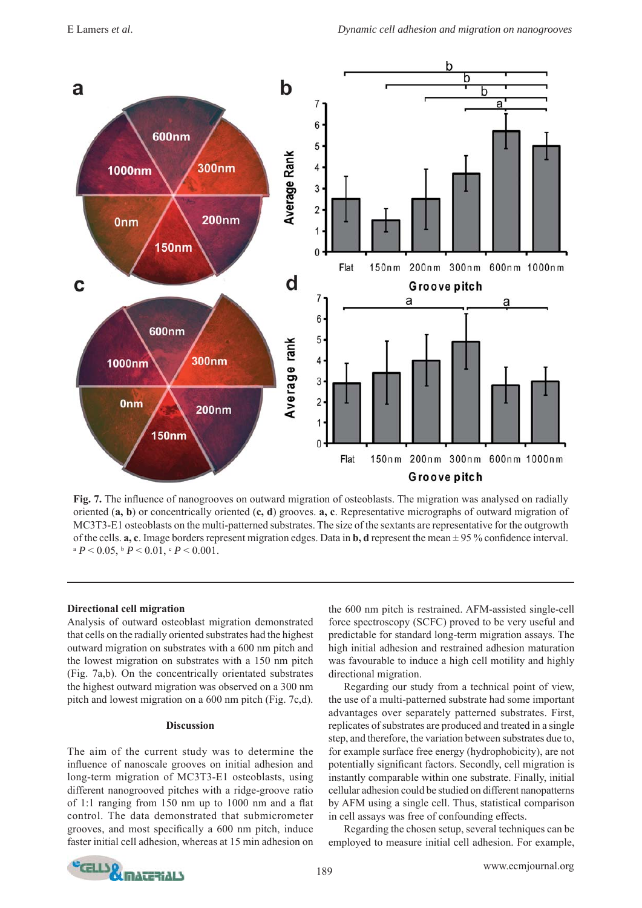

Fig. 7. The influence of nanogrooves on outward migration of osteoblasts. The migration was analysed on radially oriented (**a, b**) or concentrically oriented (**c, d**) grooves. **a, c**. Representative micrographs of outward migration of MC3T3-E1 osteoblasts on the multi-patterned substrates. The size of the sextants are representative for the outgrowth of the cells. **a, c**. Image borders represent migration edges. Data in **b, d** represent the mean  $\pm$  95 % confidence interval. <br><sup>a</sup> *P* < 0.05, <sup>b</sup> *P* < 0.01, <sup>c</sup> *P* < 0.001.

### **Directional cell migration**

Analysis of outward osteoblast migration demonstrated that cells on the radially oriented substrates had the highest outward migration on substrates with a 600 nm pitch and the lowest migration on substrates with a 150 nm pitch (Fig. 7a,b). On the concentrically orientated substrates the highest outward migration was observed on a 300 nm pitch and lowest migration on a 600 nm pitch (Fig. 7c,d).

### **Discussion**

The aim of the current study was to determine the influence of nanoscale grooves on initial adhesion and long-term migration of MC3T3-E1 osteoblasts, using different nanogrooved pitches with a ridge-groove ratio of 1:1 ranging from  $150$  nm up to  $1000$  nm and a flat control. The data demonstrated that submicrometer grooves, and most specifically a 600 nm pitch, induce faster initial cell adhesion, whereas at 15 min adhesion on the 600 nm pitch is restrained. AFM-assisted single-cell force spectroscopy (SCFC) proved to be very useful and predictable for standard long-term migration assays. The high initial adhesion and restrained adhesion maturation was favourable to induce a high cell motility and highly directional migration.

 Regarding our study from a technical point of view, the use of a multi-patterned substrate had some important advantages over separately patterned substrates. First, replicates of substrates are produced and treated in a single step, and therefore, the variation between substrates due to, for example surface free energy (hydrophobicity), are not potentially significant factors. Secondly, cell migration is instantly comparable within one substrate. Finally, initial cellular adhesion could be studied on different nanopatterns by AFM using a single cell. Thus, statistical comparison in cell assays was free of confounding effects.

 Regarding the chosen setup, several techniques can be employed to measure initial cell adhesion. For example,

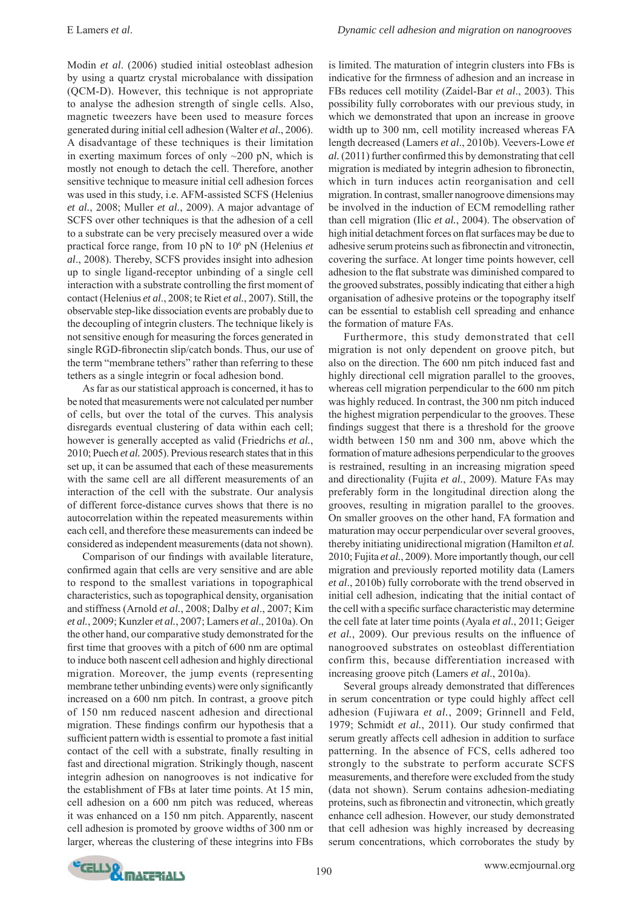Modin *et al*. (2006) studied initial osteoblast adhesion by using a quartz crystal microbalance with dissipation (QCM-D). However, this technique is not appropriate to analyse the adhesion strength of single cells. Also, magnetic tweezers have been used to measure forces generated during initial cell adhesion (Walter *et al.*, 2006). A disadvantage of these techniques is their limitation in exerting maximum forces of only  $\sim$ 200 pN, which is mostly not enough to detach the cell. Therefore, another sensitive technique to measure initial cell adhesion forces was used in this study, i.e. AFM-assisted SCFS (Helenius *et al.*, 2008; Muller *et al.*, 2009). A major advantage of SCFS over other techniques is that the adhesion of a cell to a substrate can be very precisely measured over a wide practical force range, from 10 pN to 10<sup>6</sup> pN (Helenius *et al*., 2008). Thereby, SCFS provides insight into adhesion up to single ligand-receptor unbinding of a single cell interaction with a substrate controlling the first moment of contact (Helenius *et al*., 2008; te Riet *et al.*, 2007). Still, the observable step-like dissociation events are probably due to the decoupling of integrin clusters. The technique likely is not sensitive enough for measuring the forces generated in single RGD-fibronectin slip/catch bonds. Thus, our use of the term "membrane tethers" rather than referring to these tethers as a single integrin or focal adhesion bond.

 As far as our statistical approach is concerned, it has to be noted that measurements were not calculated per number of cells, but over the total of the curves. This analysis disregards eventual clustering of data within each cell; however is generally accepted as valid (Friedrichs *et al.*, 2010; Puech *et al.* 2005). Previous research states that in this set up, it can be assumed that each of these measurements with the same cell are all different measurements of an interaction of the cell with the substrate. Our analysis of different force-distance curves shows that there is no autocorrelation within the repeated measurements within each cell, and therefore these measurements can indeed be considered as independent measurements (data not shown).

Comparison of our findings with available literature, confirmed again that cells are very sensitive and are able to respond to the smallest variations in topographical characteristics, such as topographical density, organisation and stiffness (Arnold *et al.*, 2008; Dalby *et al*., 2007; Kim *et al.*, 2009; Kunzler *et al.*, 2007; Lamers *et al*., 2010a). On the other hand, our comparative study demonstrated for the first time that grooves with a pitch of 600 nm are optimal to induce both nascent cell adhesion and highly directional migration. Moreover, the jump events (representing membrane tether unbinding events) were only significantly increased on a 600 nm pitch. In contrast, a groove pitch of 150 nm reduced nascent adhesion and directional migration. These findings confirm our hypothesis that a sufficient pattern width is essential to promote a fast initial contact of the cell with a substrate, finally resulting in fast and directional migration. Strikingly though, nascent integrin adhesion on nanogrooves is not indicative for the establishment of FBs at later time points. At 15 min, cell adhesion on a 600 nm pitch was reduced, whereas it was enhanced on a 150 nm pitch. Apparently, nascent cell adhesion is promoted by groove widths of 300 nm or larger, whereas the clustering of these integrins into FBs is limited. The maturation of integrin clusters into FBs is indicative for the firmness of adhesion and an increase in FBs reduces cell motility (Zaidel-Bar *et al*., 2003). This possibility fully corroborates with our previous study, in which we demonstrated that upon an increase in groove width up to 300 nm, cell motility increased whereas FA length decreased (Lamers *et al*., 2010b). Veevers-Lowe *et al.* (2011) further confirmed this by demonstrating that cell migration is mediated by integrin adhesion to fibronectin, which in turn induces actin reorganisation and cell migration. In contrast, smaller nanogroove dimensions may be involved in the induction of ECM remodelling rather than cell migration (Ilic *et al.*, 2004). The observation of high initial detachment forces on flat surfaces may be due to adhesive serum proteins such as fibronectin and vitronectin, covering the surface. At longer time points however, cell adhesion to the flat substrate was diminished compared to the grooved substrates, possibly indicating that either a high organisation of adhesive proteins or the topography itself can be essential to establish cell spreading and enhance the formation of mature FAs.

 Furthermore, this study demonstrated that cell migration is not only dependent on groove pitch, but also on the direction. The 600 nm pitch induced fast and highly directional cell migration parallel to the grooves, whereas cell migration perpendicular to the 600 nm pitch was highly reduced. In contrast, the 300 nm pitch induced the highest migration perpendicular to the grooves. These findings suggest that there is a threshold for the groove width between 150 nm and 300 nm, above which the formation of mature adhesions perpendicular to the grooves is restrained, resulting in an increasing migration speed and directionality (Fujita *et al.*, 2009). Mature FAs may preferably form in the longitudinal direction along the grooves, resulting in migration parallel to the grooves. On smaller grooves on the other hand, FA formation and maturation may occur perpendicular over several grooves, thereby initiating unidirectional migration (Hamilton *et al.* 2010; Fujita *et al.*, 2009). More importantly though, our cell migration and previously reported motility data (Lamers *et al*., 2010b) fully corroborate with the trend observed in initial cell adhesion, indicating that the initial contact of the cell with a specific surface characteristic may determine the cell fate at later time points (Ayala *et al.*, 2011; Geiger *et al.*, 2009). Our previous results on the influence of nanogrooved substrates on osteoblast differentiation confirm this, because differentiation increased with increasing groove pitch (Lamers *et al*., 2010a).

 Several groups already demonstrated that differences in serum concentration or type could highly affect cell adhesion (Fujiwara *et al.*, 2009; Grinnell and Feld, 1979; Schmidt et al., 2011). Our study confirmed that serum greatly affects cell adhesion in addition to surface patterning. In the absence of FCS, cells adhered too strongly to the substrate to perform accurate SCFS measurements, and therefore were excluded from the study (data not shown). Serum contains adhesion-mediating proteins, such as fibronectin and vitronectin, which greatly enhance cell adhesion. However, our study demonstrated that cell adhesion was highly increased by decreasing serum concentrations, which corroborates the study by

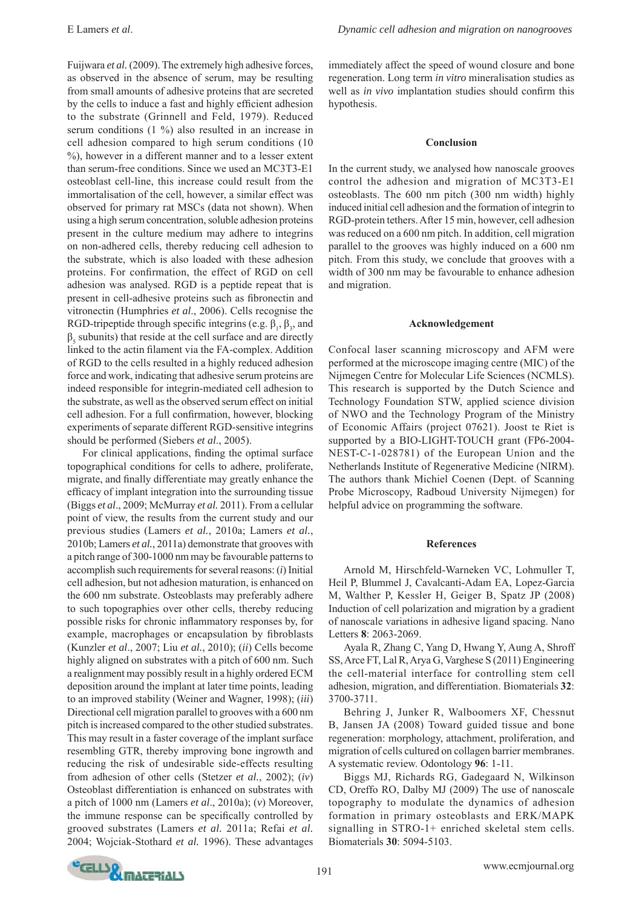Fuijwara *et al.* (2009). The extremely high adhesive forces, as observed in the absence of serum, may be resulting from small amounts of adhesive proteins that are secreted by the cells to induce a fast and highly efficient adhesion to the substrate (Grinnell and Feld, 1979). Reduced serum conditions (1 %) also resulted in an increase in cell adhesion compared to high serum conditions (10 %), however in a different manner and to a lesser extent than serum-free conditions. Since we used an MC3T3-E1 osteoblast cell-line, this increase could result from the immortalisation of the cell, however, a similar effect was observed for primary rat MSCs (data not shown). When using a high serum concentration, soluble adhesion proteins present in the culture medium may adhere to integrins on non-adhered cells, thereby reducing cell adhesion to the substrate, which is also loaded with these adhesion proteins. For confirmation, the effect of RGD on cell adhesion was analysed. RGD is a peptide repeat that is present in cell-adhesive proteins such as fibronectin and vitronectin (Humphries *et al*., 2006). Cells recognise the RGD-tripeptide through specific integrins (e.g.  $\beta_1$ ,  $\beta_3$ , and  $\beta_5$  subunits) that reside at the cell surface and are directly linked to the actin filament via the FA-complex. Addition of RGD to the cells resulted in a highly reduced adhesion force and work, indicating that adhesive serum proteins are indeed responsible for integrin-mediated cell adhesion to the substrate, as well as the observed serum effect on initial cell adhesion. For a full confirmation, however, blocking experiments of separate different RGD-sensitive integrins should be performed (Siebers *et al*., 2005).

For clinical applications, finding the optimal surface topographical conditions for cells to adhere, proliferate, migrate, and finally differentiate may greatly enhance the efficacy of implant integration into the surrounding tissue (Biggs *et al*., 2009; McMurray *et al.* 2011). From a cellular point of view, the results from the current study and our previous studies (Lamers *et al.*, 2010a; Lamers *et al.*, 2010b; Lamers *et al.*, 2011a) demonstrate that grooves with a pitch range of 300-1000 nm may be favourable patterns to accomplish such requirements for several reasons: (*i*) Initial cell adhesion, but not adhesion maturation, is enhanced on the 600 nm substrate. Osteoblasts may preferably adhere to such topographies over other cells, thereby reducing possible risks for chronic inflammatory responses by, for example, macrophages or encapsulation by fibroblasts (Kunzler *et al*., 2007; Liu *et al.*, 2010); (*ii*) Cells become highly aligned on substrates with a pitch of 600 nm. Such a realignment may possibly result in a highly ordered ECM deposition around the implant at later time points, leading to an improved stability (Weiner and Wagner, 1998); (*iii*) Directional cell migration parallel to grooves with a 600 nm pitch is increased compared to the other studied substrates. This may result in a faster coverage of the implant surface resembling GTR, thereby improving bone ingrowth and reducing the risk of undesirable side-effects resulting from adhesion of other cells (Stetzer *et al.*, 2002); (*iv*) Osteoblast differentiation is enhanced on substrates with a pitch of 1000 nm (Lamers *et al*., 2010a); (*v*) Moreover, the immune response can be specifically controlled by grooved substrates (Lamers *et al.* 2011a; Refai *et al.* 2004; Wojciak-Stothard *et al.* 1996). These advantages

immediately affect the speed of wound closure and bone regeneration. Long term *in vitro* mineralisation studies as well as *in vivo* implantation studies should confirm this hypothesis.

#### **Conclusion**

In the current study, we analysed how nanoscale grooves control the adhesion and migration of MC3T3-E1 osteoblasts. The 600 nm pitch (300 nm width) highly induced initial cell adhesion and the formation of integrin to RGD-protein tethers. After 15 min, however, cell adhesion was reduced on a 600 nm pitch. In addition, cell migration parallel to the grooves was highly induced on a 600 nm pitch. From this study, we conclude that grooves with a width of 300 nm may be favourable to enhance adhesion and migration.

#### **Acknowledgement**

Confocal laser scanning microscopy and AFM were performed at the microscope imaging centre (MIC) of the Nijmegen Centre for Molecular Life Sciences (NCMLS). This research is supported by the Dutch Science and Technology Foundation STW, applied science division of NWO and the Technology Program of the Ministry of Economic Affairs (project 07621). Joost te Riet is supported by a BIO-LIGHT-TOUCH grant (FP6-2004- NEST-C-1-028781) of the European Union and the Netherlands Institute of Regenerative Medicine (NIRM). The authors thank Michiel Coenen (Dept. of Scanning Probe Microscopy, Radboud University Nijmegen) for helpful advice on programming the software.

### **References**

 Arnold M, Hirschfeld-Warneken VC, Lohmuller T, Heil P, Blummel J, Cavalcanti-Adam EA, Lopez-Garcia M, Walther P, Kessler H, Geiger B, Spatz JP (2008) Induction of cell polarization and migration by a gradient of nanoscale variations in adhesive ligand spacing. Nano Letters **8**: 2063-2069.

 Ayala R, Zhang C, Yang D, Hwang Y, Aung A, Shroff SS, Arce FT, Lal R, Arya G, Varghese S (2011) Engineering the cell-material interface for controlling stem cell adhesion, migration, and differentiation. Biomaterials **32**: 3700-3711.

 Behring J, Junker R, Walboomers XF, Chessnut B, Jansen JA (2008) Toward guided tissue and bone regeneration: morphology, attachment, proliferation, and migration of cells cultured on collagen barrier membranes. A systematic review. Odontology **96**: 1-11.

 Biggs MJ, Richards RG, Gadegaard N, Wilkinson CD, Oreffo RO, Dalby MJ (2009) The use of nanoscale topography to modulate the dynamics of adhesion formation in primary osteoblasts and ERK/MAPK signalling in STRO-1+ enriched skeletal stem cells. Biomaterials **30**: 5094-5103.

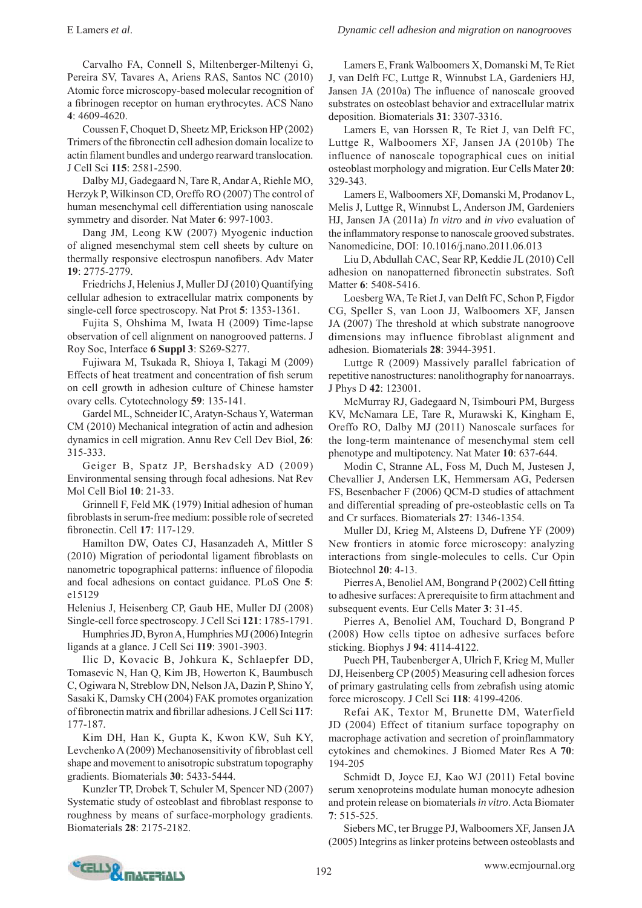Carvalho FA, Connell S, Miltenberger-Miltenyi G, Pereira SV, Tavares A, Ariens RAS, Santos NC (2010) Atomic force microscopy-based molecular recognition of a fibrinogen receptor on human erythrocytes. ACS Nano **4**: 4609-4620.

 Coussen F, Choquet D, Sheetz MP, Erickson HP (2002) Trimers of the fibronectin cell adhesion domain localize to actin filament bundles and undergo rearward translocation. J Cell Sci **115**: 2581-2590.

 Dalby MJ, Gadegaard N, Tare R, Andar A, Riehle MO, Herzyk P, Wilkinson CD, Oreffo RO (2007) The control of human mesenchymal cell differentiation using nanoscale symmetry and disorder. Nat Mater **6**: 997-1003.

 Dang JM, Leong KW (2007) Myogenic induction of aligned mesenchymal stem cell sheets by culture on thermally responsive electrospun nanofibers. Adv Mater **19**: 2775-2779.

 Friedrichs J, Helenius J, Muller DJ (2010) Quantifying cellular adhesion to extracellular matrix components by single-cell force spectroscopy. Nat Prot **5**: 1353-1361.

 Fujita S, Ohshima M, Iwata H (2009) Time-lapse observation of cell alignment on nanogrooved patterns. J Roy Soc, Interface **6 Suppl 3**: S269-S277.

 Fujiwara M, Tsukada R, Shioya I, Takagi M (2009) Effects of heat treatment and concentration of fish serum on cell growth in adhesion culture of Chinese hamster ovary cells. Cytotechnology **59**: 135-141.

 Gardel ML, Schneider IC, Aratyn-Schaus Y, Waterman CM (2010) Mechanical integration of actin and adhesion dynamics in cell migration. Annu Rev Cell Dev Biol, **26**: 315-333.

 Geiger B, Spatz JP, Bershadsky AD (2009) Environmental sensing through focal adhesions. Nat Rev Mol Cell Biol **10**: 21-33.

 Grinnell F, Feld MK (1979) Initial adhesion of human fibroblasts in serum-free medium: possible role of secreted fi bronectin. Cell **17**: 117-129.

 Hamilton DW, Oates CJ, Hasanzadeh A, Mittler S  $(2010)$  Migration of periodontal ligament fibroblasts on nanometric topographical patterns: influence of filopodia and focal adhesions on contact guidance. PLoS One **5**: e15129

Helenius J, Heisenberg CP, Gaub HE, Muller DJ (2008) Single-cell force spectroscopy. J Cell Sci **121**: 1785-1791.

 Humphries JD, Byron A, Humphries MJ (2006) Integrin ligands at a glance. J Cell Sci **119**: 3901-3903.

 Ilic D, Kovacic B, Johkura K, Schlaepfer DD, Tomasevic N, Han Q, Kim JB, Howerton K, Baumbusch C, Ogiwara N, Streblow DN, Nelson JA, Dazin P, Shino Y, Sasaki K, Damsky CH (2004) FAK promotes organization of fibronectin matrix and fibrillar adhesions. J Cell Sci 117: 177-187.

 Kim DH, Han K, Gupta K, Kwon KW, Suh KY, Levchenko A (2009) Mechanosensitivity of fibroblast cell shape and movement to anisotropic substratum topography gradients. Biomaterials **30**: 5433-5444.

 Kunzler TP, Drobek T, Schuler M, Spencer ND (2007) Systematic study of osteoblast and fibroblast response to roughness by means of surface-morphology gradients. Biomaterials **28**: 2175-2182.

 Lamers E, Frank Walboomers X, Domanski M, Te Riet J, van Delft FC, Luttge R, Winnubst LA, Gardeniers HJ, Jansen JA (2010a) The influence of nanoscale grooved substrates on osteoblast behavior and extracellular matrix deposition. Biomaterials **31**: 3307-3316.

 Lamers E, van Horssen R, Te Riet J, van Delft FC, Luttge R, Walboomers XF, Jansen JA (2010b) The influence of nanoscale topographical cues on initial osteoblast morphology and migration. Eur Cells Mater **20**: 329-343.

Lamers E, Walboomers XF, Domanski M, Prodanov L, Melis J, Luttge R, Winnubst L, Anderson JM, Gardeniers HJ, Jansen JA (2011a) *In vitro* and *in vivo* evaluation of the inflammatory response to nanoscale grooved substrates. Nanomedicine, DOI: 10.1016/j.nano.2011.06.013

 Liu D, Abdullah CAC, Sear RP, Keddie JL (2010) Cell adhesion on nanopatterned fibronectin substrates. Soft Matter **6**: 5408-5416.

 Loesberg WA, Te Riet J, van Delft FC, Schon P, Figdor CG, Speller S, van Loon JJ, Walboomers XF, Jansen JA (2007) The threshold at which substrate nanogroove dimensions may influence fibroblast alignment and adhesion. Biomaterials **28**: 3944-3951.

 Luttge R (2009) Massively parallel fabrication of repetitive nanostructures: nanolithography for nanoarrays. J Phys D **42**: 123001.

 McMurray RJ, Gadegaard N, Tsimbouri PM, Burgess KV, McNamara LE, Tare R, Murawski K, Kingham E, Oreffo RO, Dalby MJ (2011) Nanoscale surfaces for the long-term maintenance of mesenchymal stem cell phenotype and multipotency. Nat Mater **10**: 637-644.

 Modin C, Stranne AL, Foss M, Duch M, Justesen J, Chevallier J, Andersen LK, Hemmersam AG, Pedersen FS, Besenbacher F (2006) QCM-D studies of attachment and differential spreading of pre-osteoblastic cells on Ta and Cr surfaces. Biomaterials **27**: 1346-1354.

 Muller DJ, Krieg M, Alsteens D, Dufrene YF (2009) New frontiers in atomic force microscopy: analyzing interactions from single-molecules to cells. Cur Opin Biotechnol **20**: 4-13.

Pierres A, Benoliel AM, Bongrand P (2002) Cell fitting to adhesive surfaces: A prerequisite to firm attachment and subsequent events. Eur Cells Mater **3**: 31-45.

 Pierres A, Benoliel AM, Touchard D, Bongrand P (2008) How cells tiptoe on adhesive surfaces before sticking. Biophys J **94**: 4114-4122.

 Puech PH, Taubenberger A, Ulrich F, Krieg M, Muller DJ, Heisenberg CP (2005) Measuring cell adhesion forces of primary gastrulating cells from zebrafish using atomic force microscopy. J Cell Sci **118**: 4199-4206.

 Refai AK, Textor M, Brunette DM, Waterfield JD (2004) Effect of titanium surface topography on macrophage activation and secretion of proinflammatory cytokines and chemokines. J Biomed Mater Res A **70**: 194-205

 Schmidt D, Joyce EJ, Kao WJ (2011) Fetal bovine serum xenoproteins modulate human monocyte adhesion and protein release on biomaterials *in vitro*. Acta Biomater **7**: 515-525.

 Siebers MC, ter Brugge PJ, Walboomers XF, Jansen JA (2005) Integrins as linker proteins between osteoblasts and

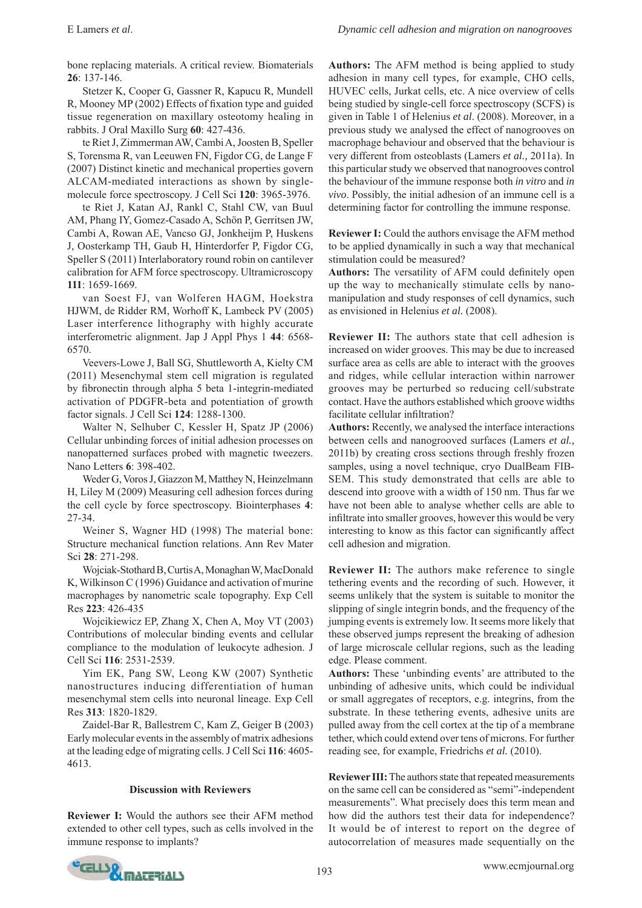bone replacing materials. A critical review. Biomaterials **26**: 137-146.

 Stetzer K, Cooper G, Gassner R, Kapucu R, Mundell R, Mooney MP (2002) Effects of fixation type and guided tissue regeneration on maxillary osteotomy healing in rabbits. J Oral Maxillo Surg **60**: 427-436.

 te Riet J, Zimmerman AW, Cambi A, Joosten B, Speller S, Torensma R, van Leeuwen FN, Figdor CG, de Lange F (2007) Distinct kinetic and mechanical properties govern ALCAM-mediated interactions as shown by singlemolecule force spectroscopy. J Cell Sci **120**: 3965-3976.

 te Riet J, Katan AJ, Rankl C, Stahl CW, van Buul AM, Phang IY, Gomez-Casado A, Schön P, Gerritsen JW, Cambi A, Rowan AE, Vancso GJ, Jonkheijm P, Huskens J, Oosterkamp TH, Gaub H, Hinterdorfer P, Figdor CG, Speller S (2011) Interlaboratory round robin on cantilever calibration for AFM force spectroscopy. Ultramicroscopy **111**: 1659-1669.

 van Soest FJ, van Wolferen HAGM, Hoekstra HJWM, de Ridder RM, Worhoff K, Lambeck PV (2005) Laser interference lithography with highly accurate interferometric alignment. Jap J Appl Phys 1 **44**: 6568- 6570.

 Veevers-Lowe J, Ball SG, Shuttleworth A, Kielty CM (2011) Mesenchymal stem cell migration is regulated by fibronectin through alpha 5 beta 1-integrin-mediated activation of PDGFR-beta and potentiation of growth factor signals. J Cell Sci **124**: 1288-1300.

 Walter N, Selhuber C, Kessler H, Spatz JP (2006) Cellular unbinding forces of initial adhesion processes on nanopatterned surfaces probed with magnetic tweezers. Nano Letters **6**: 398-402.

 Weder G, Voros J, Giazzon M, Matthey N, Heinzelmann H, Liley M (2009) Measuring cell adhesion forces during the cell cycle by force spectroscopy. Biointerphases **4**: 27-34.

 Weiner S, Wagner HD (1998) The material bone: Structure mechanical function relations. Ann Rev Mater Sci **28**: 271-298.

 Wojciak-Stothard B, Curtis A, Monaghan W, MacDonald K, Wilkinson C (1996) Guidance and activation of murine macrophages by nanometric scale topography. Exp Cell Res **223**: 426-435

 Wojcikiewicz EP, Zhang X, Chen A, Moy VT (2003) Contributions of molecular binding events and cellular compliance to the modulation of leukocyte adhesion. J Cell Sci **116**: 2531-2539.

 Yim EK, Pang SW, Leong KW (2007) Synthetic nanostructures inducing differentiation of human mesenchymal stem cells into neuronal lineage. Exp Cell Res **313**: 1820-1829.

 Zaidel-Bar R, Ballestrem C, Kam Z, Geiger B (2003) Early molecular events in the assembly of matrix adhesions at the leading edge of migrating cells. J Cell Sci **116**: 4605- 4613.

### **Discussion with Reviewers**

**Reviewer I:** Would the authors see their AFM method extended to other cell types, such as cells involved in the immune response to implants?

**Authors:** The AFM method is being applied to study adhesion in many cell types, for example, CHO cells, HUVEC cells, Jurkat cells, etc. A nice overview of cells being studied by single-cell force spectroscopy (SCFS) is given in Table 1 of Helenius *et al*. (2008). Moreover, in a previous study we analysed the effect of nanogrooves on macrophage behaviour and observed that the behaviour is very different from osteoblasts (Lamers *et al.,* 2011a). In this particular study we observed that nanogrooves control the behaviour of the immune response both *in vitro* and *in vivo*. Possibly, the initial adhesion of an immune cell is a determining factor for controlling the immune response.

**Reviewer I:** Could the authors envisage the AFM method to be applied dynamically in such a way that mechanical stimulation could be measured?

Authors: The versatility of AFM could definitely open up the way to mechanically stimulate cells by nanomanipulation and study responses of cell dynamics, such as envisioned in Helenius *et al.* (2008).

**Reviewer II:** The authors state that cell adhesion is increased on wider grooves. This may be due to increased surface area as cells are able to interact with the grooves and ridges, while cellular interaction within narrower grooves may be perturbed so reducing cell/substrate contact. Have the authors established which groove widths facilitate cellular infiltration?

**Authors:** Recently, we analysed the interface interactions between cells and nanogrooved surfaces (Lamers *et al.,* 2011b) by creating cross sections through freshly frozen samples, using a novel technique, cryo DualBeam FIB-SEM. This study demonstrated that cells are able to descend into groove with a width of 150 nm. Thus far we have not been able to analyse whether cells are able to infiltrate into smaller grooves, however this would be very interesting to know as this factor can significantly affect cell adhesion and migration.

**Reviewer II:** The authors make reference to single tethering events and the recording of such. However, it seems unlikely that the system is suitable to monitor the slipping of single integrin bonds, and the frequency of the jumping events is extremely low. It seems more likely that these observed jumps represent the breaking of adhesion of large microscale cellular regions, such as the leading edge. Please comment.

**Authors:** These 'unbinding events' are attributed to the unbinding of adhesive units, which could be individual or small aggregates of receptors, e.g. integrins, from the substrate. In these tethering events, adhesive units are pulled away from the cell cortex at the tip of a membrane tether, which could extend over tens of microns. For further reading see, for example, Friedrichs *et al.* (2010).

**Reviewer III:** The authors state that repeated measurements on the same cell can be considered as "semi"-independent measurements". What precisely does this term mean and how did the authors test their data for independence? It would be of interest to report on the degree of autocorrelation of measures made sequentially on the